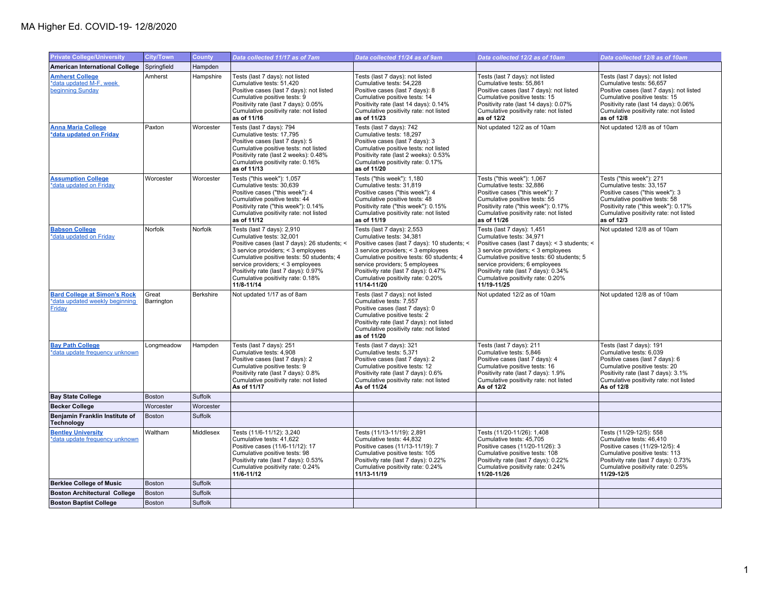## MA Higher Ed. COVID-19- 12/8/2020

| <b>Private College/University</b>                                               | <b>City/Town</b>    | <b>County</b>    | Data collected 11/17 as of 7am                                                                                                                                                                                                                                                                                           | Data collected 11/24 as of 9am                                                                                                                                                                                                                                                                                          | Data collected 12/2 as of 10am                                                                                                                                                                                                                                                                                           | Data collected 12/8 as of 10am                                                                                                                                                                                                            |
|---------------------------------------------------------------------------------|---------------------|------------------|--------------------------------------------------------------------------------------------------------------------------------------------------------------------------------------------------------------------------------------------------------------------------------------------------------------------------|-------------------------------------------------------------------------------------------------------------------------------------------------------------------------------------------------------------------------------------------------------------------------------------------------------------------------|--------------------------------------------------------------------------------------------------------------------------------------------------------------------------------------------------------------------------------------------------------------------------------------------------------------------------|-------------------------------------------------------------------------------------------------------------------------------------------------------------------------------------------------------------------------------------------|
| <b>American International College</b>                                           | Springfield         | Hampden          |                                                                                                                                                                                                                                                                                                                          |                                                                                                                                                                                                                                                                                                                         |                                                                                                                                                                                                                                                                                                                          |                                                                                                                                                                                                                                           |
| <b>Amherst College</b><br>*data updated M-F, week<br>beginning Sunday           | Amherst             | Hampshire        | Tests (last 7 days): not listed<br>Cumulative tests: 51,420<br>Positive cases (last 7 days): not listed<br>Cumulative positive tests: 9<br>Positivity rate (last 7 days): 0.05%<br>Cumulative positivity rate: not listed<br>as of 11/16                                                                                 | Tests (last 7 days): not listed<br>Cumulative tests: 54,228<br>Positive cases (last 7 days): 8<br>Cumulative positive tests: 14<br>Positivity rate (last 14 days): 0.14%<br>Cumulative positivity rate: not listed<br>as of 11/23                                                                                       | Tests (last 7 days): not listed<br>Cumulative tests: 55,861<br>Positive cases (last 7 days): not listed<br>Cumulative positive tests: 15<br>Positivity rate (last 14 days): 0.07%<br>Cumulative positivity rate: not listed<br>as of 12/2                                                                                | Tests (last 7 days): not listed<br>Cumulative tests: 56,657<br>Positive cases (last 7 days): not listed<br>Cumulative positive tests: 15<br>Positivity rate (last 14 days): 0.06%<br>Cumulative positivity rate: not listed<br>as of 12/8 |
| <b>Anna Maria College</b><br>*data updated on Friday                            | Paxton              | Worcester        | Tests (last 7 days): 794<br>Cumulative tests: 17,795<br>Positive cases (last 7 days): 5<br>Cumulative positive tests: not listed<br>Positivity rate (last 2 weeks): 0.48%<br>Cumulative positivity rate: 0.16%<br>as of 11/13                                                                                            | Tests (last 7 days): 742<br>Cumulative tests: 18,297<br>Positive cases (last 7 days): 3<br>Cumulative positive tests: not listed<br>Positivity rate (last 2 weeks): 0.53%<br>Cumulative positivity rate: 0.17%<br>as of 11/20                                                                                           | Not updated 12/2 as of 10am                                                                                                                                                                                                                                                                                              | Not updated 12/8 as of 10am                                                                                                                                                                                                               |
| <b>Assumption College</b><br>*data updated on Friday                            | Worcester           | Worcester        | Tests ("this week"): 1,057<br>Cumulative tests: 30,639<br>Positive cases ("this week"): 4<br>Cumulative positive tests: 44<br>Positivity rate ("this week"): 0.14%<br>Cumulative positivity rate: not listed<br>as of 11/12                                                                                              | Tests ("this week"): 1,180<br>Cumulative tests: 31,819<br>Positive cases ("this week"): 4<br>Cumulative positive tests: 48<br>Positivity rate ("this week"): 0.15%<br>Cumulative positivity rate: not listed<br>as of 11/19                                                                                             | Tests ("this week"): 1,067<br>Cumulative tests: 32,886<br>Positive cases ("this week"): 7<br>Cumulative positive tests: 55<br>Positivity rate ("this week"): 0.17%<br>Cumulative positivity rate: not listed<br>as of 11/26                                                                                              | Tests ("this week"): 271<br>Cumulative tests: 33,157<br>Positive cases ("this week"): 3<br>Cumulative positive tests: 58<br>Positivity rate ("this week"): 0.17%<br>Cumulative positivity rate: not listed<br>as of 12/3                  |
| <b>Babson College</b><br>*data updated on Friday                                | Norfolk             | Norfolk          | Tests (last 7 days): 2,910<br>Cumulative tests: 32,001<br>Positive cases (last 7 days): 26 students; <<br>3 service providers; < 3 employees<br>Cumulative positive tests: 50 students; 4<br>service providers; < 3 employees<br>Positivity rate (last 7 days): 0.97%<br>Cumulative positivity rate: 0.18%<br>11/8-11/14 | Tests (last 7 days): 2,553<br>Cumulative tests: 34,381<br>Positive cases (last 7 days): 10 students; <<br>3 service providers; < 3 employees<br>Cumulative positive tests: 60 students; 4<br>service providers; 5 employees<br>Positivity rate (last 7 days): 0.47%<br>Cumulative positivity rate: 0.20%<br>11/14-11/20 | Tests (last 7 days): 1,451<br>Cumulative tests: 34,971<br>Positive cases (last 7 days): < 3 students; <<br>3 service providers; < 3 employees<br>Cumulative positive tests: 60 students; 5<br>service providers; 6 employees<br>Positivity rate (last 7 days): 0.34%<br>Cumulative positivity rate: 0.20%<br>11/19-11/25 | Not updated 12/8 as of 10am                                                                                                                                                                                                               |
| <b>Bard College at Simon's Rock</b><br>*data updated weekly beginning<br>Friday | Great<br>Barrington | <b>Berkshire</b> | Not updated 1/17 as of 8am                                                                                                                                                                                                                                                                                               | Tests (last 7 days): not listed<br>Cumulative tests: 7,557<br>Positive cases (last 7 days): 0<br>Cumulative positive tests: 2<br>Positivity rate (last 7 days): not listed<br>Cumulative positivity rate: not listed<br>as of 11/20                                                                                     | Not updated 12/2 as of 10am                                                                                                                                                                                                                                                                                              | Not updated 12/8 as of 10am                                                                                                                                                                                                               |
| <b>Bay Path College</b><br>*data update frequency unknown                       | Longmeadow          | Hampden          | Tests (last 7 days): 251<br>Cumulative tests: 4,908<br>Positive cases (last 7 days): 2<br>Cumulative positive tests: 9<br>Positivity rate (last 7 days): 0.8%<br>Cumulative positivity rate: not listed<br>As of 11/17                                                                                                   | Tests (last 7 days): 321<br>Cumulative tests: 5,371<br>Positive cases (last 7 days): 2<br>Cumulative positive tests: 12<br>Positivity rate (last 7 days): 0.6%<br>Cumulative positivity rate: not listed<br>As of 11/24                                                                                                 | Tests (last 7 days): 211<br>Cumulative tests: 5.846<br>Positive cases (last 7 days): 4<br>Cumulative positive tests: 16<br>Positivity rate (last 7 days): 1.9%<br>Cumulative positivity rate: not listed<br>As of 12/2                                                                                                   | Tests (last 7 days): 191<br>Cumulative tests: 6.039<br>Positive cases (last 7 days): 6<br>Cumulative positive tests: 20<br>Positivity rate (last 7 days): 3.1%<br>Cumulative positivity rate: not listed<br>As of 12/8                    |
| <b>Bay State College</b>                                                        | <b>Boston</b>       | Suffolk          |                                                                                                                                                                                                                                                                                                                          |                                                                                                                                                                                                                                                                                                                         |                                                                                                                                                                                                                                                                                                                          |                                                                                                                                                                                                                                           |
| <b>Becker College</b>                                                           | Worcester           | Worcester        |                                                                                                                                                                                                                                                                                                                          |                                                                                                                                                                                                                                                                                                                         |                                                                                                                                                                                                                                                                                                                          |                                                                                                                                                                                                                                           |
| Benjamin Franklin Institute of<br><b>Technology</b>                             | <b>Boston</b>       | Suffolk          |                                                                                                                                                                                                                                                                                                                          |                                                                                                                                                                                                                                                                                                                         |                                                                                                                                                                                                                                                                                                                          |                                                                                                                                                                                                                                           |
| <b>Bentley University</b><br>*data update frequency unknown                     | Waltham             | Middlesex        | Tests (11/6-11/12): 3,240<br>Cumulative tests: 41,622<br>Positive cases (11/6-11/12): 17<br>Cumulative positive tests: 98<br>Positivity rate (last 7 days): 0.53%<br>Cumulative positivity rate: 0.24%<br>11/6-11/12                                                                                                     | Tests (11/13-11/19): 2,891<br>Cumulative tests: 44,832<br>Positive cases (11/13-11/19): 7<br>Cumulative positive tests: 105<br>Positivity rate (last 7 days): 0.22%<br>Cumulative positivity rate: 0.24%<br>11/13-11/19                                                                                                 | Tests (11/20-11/26): 1,408<br>Cumulative tests: 45,705<br>Positive cases (11/20-11/26): 3<br>Cumulative positive tests: 108<br>Positivity rate (last 7 days): 0.22%<br>Cumulative positivity rate: 0.24%<br>11/20-11/26                                                                                                  | Tests (11/29-12/5): 558<br>Cumulative tests: 46,410<br>Positive cases (11/29-12/5): 4<br>Cumulative positive tests: 113<br>Positivity rate (last 7 days): 0.73%<br>Cumulative positivity rate: 0.25%<br>11/29-12/5                        |
| <b>Berklee College of Music</b>                                                 | <b>Boston</b>       | Suffolk          |                                                                                                                                                                                                                                                                                                                          |                                                                                                                                                                                                                                                                                                                         |                                                                                                                                                                                                                                                                                                                          |                                                                                                                                                                                                                                           |
| <b>Boston Architectural College</b>                                             | Boston              | Suffolk          |                                                                                                                                                                                                                                                                                                                          |                                                                                                                                                                                                                                                                                                                         |                                                                                                                                                                                                                                                                                                                          |                                                                                                                                                                                                                                           |
| <b>Boston Baptist College</b>                                                   | Boston              | Suffolk          |                                                                                                                                                                                                                                                                                                                          |                                                                                                                                                                                                                                                                                                                         |                                                                                                                                                                                                                                                                                                                          |                                                                                                                                                                                                                                           |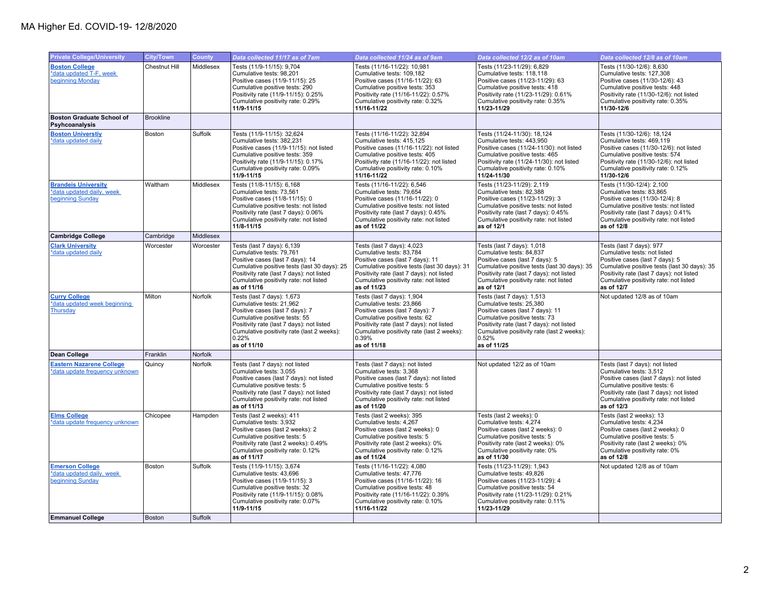| <b>Private College/University</b>                                           | <b>City/Town</b>     | County    | Data collected 11/17 as of 7am                                                                                                                                                                                                                   | Data collected 11/24 as of 9am                                                                                                                                                                                                                   | Data collected 12/2 as of 10am                                                                                                                                                                                                                 | Data collected 12/8 as of 10am                                                                                                                                                                                                                   |
|-----------------------------------------------------------------------------|----------------------|-----------|--------------------------------------------------------------------------------------------------------------------------------------------------------------------------------------------------------------------------------------------------|--------------------------------------------------------------------------------------------------------------------------------------------------------------------------------------------------------------------------------------------------|------------------------------------------------------------------------------------------------------------------------------------------------------------------------------------------------------------------------------------------------|--------------------------------------------------------------------------------------------------------------------------------------------------------------------------------------------------------------------------------------------------|
| <b>Boston College</b><br>*data updated T-F, week<br>beginning Monday        | <b>Chestnut Hill</b> | Middlesex | Tests (11/9-11/15): 9,704<br>Cumulative tests: 98,201<br>Positive cases (11/9-11/15): 25<br>Cumulative positive tests: 290<br>Positivity rate (11/9-11/15): 0.25%<br>Cumulative positivity rate: 0.29%<br>11/9-11/15                             | Tests (11/16-11/22): 10,981<br>Cumulative tests: 109,182<br>Positive cases (11/16-11/22): 63<br>Cumulative positive tests: 353<br>Positivity rate (11/16-11/22): 0.57%<br>Cumulative positivity rate: 0.32%<br>11/16-11/22                       | Tests (11/23-11/29): 6,829<br>Cumulative tests: 118,118<br>Positive cases (11/23-11/29): 63<br>Cumulative positive tests: 418<br>Positivity rate (11/23-11/29): 0.61%<br>Cumulative positivity rate: 0.35%<br>11/23-11/29                      | Tests (11/30-12/6): 8,630<br>Cumulative tests: 127,308<br>Positive cases (11/30-12/6): 43<br>Cumulative positive tests: 448<br>Positivity rate (11/30-12/6): not listed<br>Cumulative positivity rate: 0.35%<br>11/30-12/6                       |
| <b>Boston Graduate School of</b><br>Psyhcoanalysis                          | <b>Brookline</b>     |           |                                                                                                                                                                                                                                                  |                                                                                                                                                                                                                                                  |                                                                                                                                                                                                                                                |                                                                                                                                                                                                                                                  |
| <b>Boston Universtiv</b><br>*data updated daily                             | Boston               | Suffolk   | Tests (11/9-11/15): 32,624<br>Cumulative tests: 382,231<br>Positive cases (11/9-11/15): not listed<br>Cumulative positive tests: 359<br>Positivity rate (11/9-11/15): 0.17%<br>Cumulative positivity rate: 0.09%<br>11/9-11/15                   | Tests (11/16-11/22): 32,894<br>Cumulative tests: 415,125<br>Positive cases (11/16-11/22): not listed<br>Cumulative positive tests: 405<br>Positivity rate (11/16-11/22): not listed<br>Cumulative positivity rate: 0.10%<br>11/16-11/22          | Tests (11/24-11/30): 18,124<br>Cumulative tests: 443,950<br>Positive cases (11/24-11/30): not listed<br>Cumulative positive tests: 465<br>Positivity rate (11/24-11/30): not listed<br>Cumulative positivity rate: 0.10%<br>11/24-11/30        | Tests (11/30-12/6): 18,124<br>Cumulative tests: 469,119<br>Positive cases (11/30-12/6): not listed<br>Cumulative positive tests: 574<br>Positivity rate (11/30-12/6): not listed<br>Cumulative positivity rate: 0.12%<br>11/30-12/6              |
| <b>Brandeis University</b><br>*data updated daily, week<br>beginning Sunday | Waltham              | Middlesex | Tests (11/8-11/15): 6,168<br>Cumulative tests: 73,561<br>Positive cases (11/8-11/15): 0<br>Cumulative positive tests: not listed<br>Positivity rate (last 7 days): 0.06%<br>Cumulative positivity rate: not listed<br>11/8-11/15                 | Tests (11/16-11/22): 6,546<br>Cumulative tests: 79,654<br>Positive cases (11/16-11/22): 0<br>Cumulative positive tests: not listed<br>Positivity rate (last 7 days): 0.45%<br>Cumulative positivity rate: not listed<br>as of 11/22              | Tests (11/23-11/29): 2,119<br>Cumulative tests: 82,388<br>Positive cases (11/23-11/29): 3<br>Cumulative positive tests: not listed<br>Positivity rate (last 7 days): 0.45%<br>Cumulative positivity rate: not listed<br>as of 12/1             | Tests (11/30-12/4): 2,100<br>Cumulative tests: 83,865<br>Positive cases (11/30-12/4): 8<br>Cumulative positive tests: not listed<br>Positivity rate (last 7 days): 0.41%<br>Cumulative positivity rate: not listed<br>as of 12/8                 |
| <b>Cambridge College</b>                                                    | Cambridge            | Middlesex |                                                                                                                                                                                                                                                  |                                                                                                                                                                                                                                                  |                                                                                                                                                                                                                                                |                                                                                                                                                                                                                                                  |
| <b>Clark University</b><br>*data updated daily                              | Worcester            | Worcester | Tests (last 7 days): 6,139<br>Cumulative tests: 79,761<br>Positive cases (last 7 days): 14<br>Cumulative positive tests (last 30 days): 25<br>Positivity rate (last 7 days): not listed<br>Cumulative positivity rate: not listed<br>as of 11/16 | Tests (last 7 days): 4,023<br>Cumulative tests: 83,784<br>Positive cases (last 7 days): 11<br>Cumulative positive tests (last 30 days): 31<br>Positivity rate (last 7 days): not listed<br>Cumulative positivity rate: not listed<br>as of 11/23 | Tests (last 7 days): 1,018<br>Cumulative tests: 84,837<br>Positive cases (last 7 days): 5<br>Cumulative positive tests (last 30 days): 35<br>Positivity rate (last 7 days): not listed<br>Cumulative positivity rate: not listed<br>as of 12/1 | Tests (last 7 days): 977<br>Cumulative tests: not listed<br>Positive cases (last 7 days): 5<br>Cumulative positive tests (last 30 days): 35<br>Positivity rate (last 7 days): not listed<br>Cumulative positivity rate: not listed<br>as of 12/7 |
| <b>Curry College</b><br>*data updated week beginning<br>Thursday            | Milton               | Norfolk   | Tests (last 7 days): 1,673<br>Cumulative tests: 21,962<br>Positive cases (last 7 days): 7<br>Cumulative positive tests: 55<br>Positivity rate (last 7 days): not listed<br>Cumulative positivity rate (last 2 weeks):<br>0.22%<br>as of 11/10    | Tests (last 7 days): 1,904<br>Cumulative tests: 23,866<br>Positive cases (last 7 days): 7<br>Cumulative positive tests: 62<br>Positivity rate (last 7 days): not listed<br>Cumulative positivity rate (last 2 weeks):<br>0.39%<br>as of 11/18    | Tests (last 7 days): 1,513<br>Cumulative tests: 25,380<br>Positive cases (last 7 days): 11<br>Cumulative positive tests: 73<br>Positivity rate (last 7 days): not listed<br>Cumulative positivity rate (last 2 weeks):<br>0.52%<br>as of 11/25 | Not updated 12/8 as of 10am                                                                                                                                                                                                                      |
| <b>Dean College</b>                                                         | Franklin             | Norfolk   |                                                                                                                                                                                                                                                  |                                                                                                                                                                                                                                                  |                                                                                                                                                                                                                                                |                                                                                                                                                                                                                                                  |
| <b>Eastern Nazarene College</b><br>*data update frequency unknown           | Quincy               | Norfolk   | Tests (last 7 days): not listed<br>Cumulative tests: 3,055<br>Positive cases (last 7 days): not listed<br>Cumulative positive tests: 5<br>Positivity rate (last 7 days): not listed<br>Cumulative positivity rate: not listed<br>as of 11/13     | Tests (last 7 days): not listed<br>Cumulative tests: 3,368<br>Positive cases (last 7 days): not listed<br>Cumulative positive tests: 5<br>Positivity rate (last 7 days): not listed<br>Cumulative positivity rate: not listed<br>as of 11/20     | Not updated 12/2 as of 10am                                                                                                                                                                                                                    | Tests (last 7 days): not listed<br>Cumulative tests: 3,512<br>Positive cases (last 7 days): not listed<br>Cumulative positive tests: 6<br>Positivity rate (last 7 days): not listed<br>Cumulative positivity rate: not listed<br>as of 12/3      |
| <b>Elms College</b><br>*data update frequency unknown                       | Chicopee             | Hampden   | Tests (last 2 weeks): 411<br>Cumulative tests: 3,932<br>Positive cases (last 2 weeks): 2<br>Cumulative positive tests: 5<br>Positivity rate (last 2 weeks): 0.49%<br>Cumulative positivity rate: 0.12%<br>as of 11/17                            | Tests (last 2 weeks): 395<br>Cumulative tests: 4,267<br>Positive cases (last 2 weeks): 0<br>Cumulative positive tests: 5<br>Positivity rate (last 2 weeks): 0%<br>Cumulative positivity rate: 0.12%<br>as of 11/24                               | Tests (last 2 weeks): 0<br>Cumulative tests: 4,274<br>Positive cases (last 2 weeks): 0<br>Cumulative positive tests: 5<br>Positivity rate (last 2 weeks): 0%<br>Cumulative positivity rate: 0%<br>as of 11/30                                  | Tests (last 2 weeks): 13<br>Cumulative tests: 4,234<br>Positive cases (last 2 weeks): 0<br>Cumulative positive tests: 5<br>Positivity rate (last 2 weeks): 0%<br>Cumulative positivity rate: 0%<br>as of 12/8                                    |
| <b>Emerson College</b><br>*data updated daily, week<br>beginning Sunday     | <b>Boston</b>        | Suffolk   | Tests (11/9-11/15): 3,674<br>Cumulative tests: 43.696<br>Positive cases (11/9-11/15): 3<br>Cumulative positive tests: 32<br>Positivity rate (11/9-11/15): 0.08%<br>Cumulative positivity rate: 0.07%<br>11/9-11/15                               | Tests (11/16-11/22): 4,080<br>Cumulative tests: 47.776<br>Positive cases (11/16-11/22): 16<br>Cumulative positive tests: 48<br>Positivity rate (11/16-11/22): 0.39%<br>Cumulative positivity rate: 0.10%<br>11/16-11/22                          | Tests (11/23-11/29): 1,943<br>Cumulative tests: 49.826<br>Positive cases (11/23-11/29): 4<br>Cumulative positive tests: 54<br>Positivity rate (11/23-11/29): 0.21%<br>Cumulative positivity rate: 0.11%<br>11/23-11/29                         | Not updated 12/8 as of 10am                                                                                                                                                                                                                      |
| <b>Emmanuel College</b>                                                     | <b>Boston</b>        | Suffolk   |                                                                                                                                                                                                                                                  |                                                                                                                                                                                                                                                  |                                                                                                                                                                                                                                                |                                                                                                                                                                                                                                                  |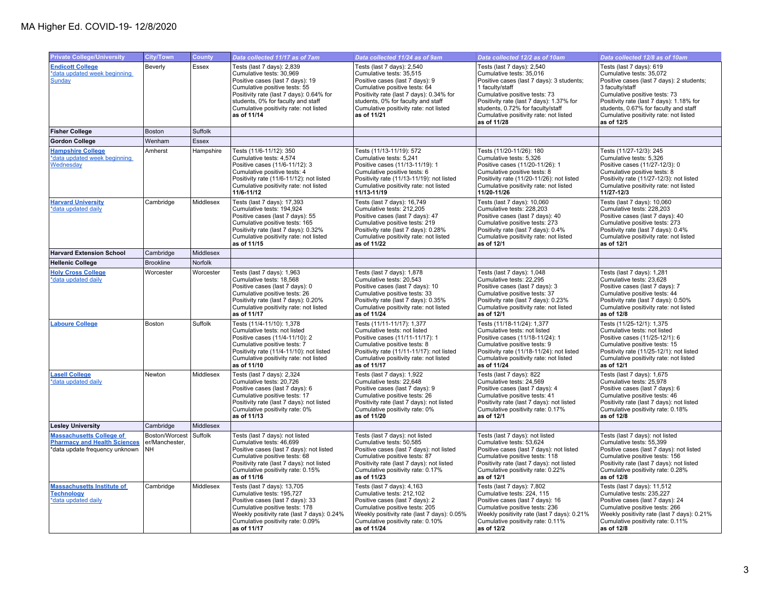| <b>Private College/University</b>                                                                        | <b>City/Town</b>                        | <b>County</b>  | Data collected 11/17 as of 7am                                                                                                                                                                                                                                         | Data collected 11/24 as of 9am                                                                                                                                                                                                                                        | Data collected 12/2 as of 10am                                                                                                                                                                                                                                                                    | Data collected 12/8 as of 10am                                                                                                                                                                                                                                                                     |
|----------------------------------------------------------------------------------------------------------|-----------------------------------------|----------------|------------------------------------------------------------------------------------------------------------------------------------------------------------------------------------------------------------------------------------------------------------------------|-----------------------------------------------------------------------------------------------------------------------------------------------------------------------------------------------------------------------------------------------------------------------|---------------------------------------------------------------------------------------------------------------------------------------------------------------------------------------------------------------------------------------------------------------------------------------------------|----------------------------------------------------------------------------------------------------------------------------------------------------------------------------------------------------------------------------------------------------------------------------------------------------|
| <b>Endicott College</b><br>*data updated week beginning<br>Sunday                                        | Beverly                                 | <b>Essex</b>   | Tests (last 7 days): 2,839<br>Cumulative tests: 30,969<br>Positive cases (last 7 days): 19<br>Cumulative positive tests: 55<br>Positivity rate (last 7 days): 0.64% for<br>students, 0% for faculty and staff<br>Cumulative positivity rate: not listed<br>as of 11/14 | Tests (last 7 days): 2,540<br>Cumulative tests: 35,515<br>Positive cases (last 7 days): 9<br>Cumulative positive tests: 64<br>Positivity rate (last 7 days): 0.34% for<br>students, 0% for faculty and staff<br>Cumulative positivity rate: not listed<br>as of 11/21 | Tests (last 7 days): 2,540<br>Cumulative tests: 35,016<br>Positive cases (last 7 days): 3 students;<br>1 faculty/staff<br>Cumulative positive tests: 73<br>Positivity rate (last 7 days): 1.37% for<br>students, 0.72% for faculty/staff<br>Cumulative positivity rate: not listed<br>as of 11/28 | Tests (last 7 days): 619<br>Cumulative tests: 35,072<br>Positive cases (last 7 days): 2 students;<br>3 faculty/staff<br>Cumulative positive tests: 73<br>Positivity rate (last 7 days): 1.18% for<br>students, 0.67% for faculty and staff<br>Cumulative positivity rate: not listed<br>as of 12/5 |
| <b>Fisher College</b>                                                                                    | <b>Boston</b>                           | Suffolk        |                                                                                                                                                                                                                                                                        |                                                                                                                                                                                                                                                                       |                                                                                                                                                                                                                                                                                                   |                                                                                                                                                                                                                                                                                                    |
| <b>Gordon College</b>                                                                                    | Wenham                                  | <b>Essex</b>   |                                                                                                                                                                                                                                                                        |                                                                                                                                                                                                                                                                       |                                                                                                                                                                                                                                                                                                   |                                                                                                                                                                                                                                                                                                    |
| <b>Hampshire College</b><br>*data updated week beginning<br>Wednesday                                    | Amherst                                 | Hampshire      | Tests (11/6-11/12): 350<br>Cumulative tests: 4,574<br>Positive cases (11/6-11/12): 3<br>Cumulative positive tests: 4<br>Positivity rate (11/6-11/12): not listed<br>Cumulative positivity rate: not listed<br>11/6-11/12                                               | Tests (11/13-11/19): 572<br>Cumulative tests: 5,241<br>Positive cases (11/13-11/19): 1<br>Cumulative positive tests: 6<br>Positivity rate (11/13-11/19): not listed<br>Cumulative positivity rate: not listed<br>11/13-11/19                                          | Tests (11/20-11/26): 180<br>Cumulative tests: 5,326<br>Positive cases (11/20-11/26): 1<br>Cumulative positive tests: 8<br>Positivity rate (11/20-11/26): not listed<br>Cumulative positivity rate: not listed<br>11/20-11/26                                                                      | Tests (11/27-12/3): 245<br>Cumulative tests: 5,326<br>Positive cases (11/27-12/3): 0<br>Cumulative positive tests: 8<br>Positivity rate (11/27-12/3): not listed<br>Cumulative positivity rate: not listed<br>11/27-12/3                                                                           |
| <b>Harvard University</b><br>*data updated daily                                                         | Cambridge                               | Middlesex      | Tests (last 7 days): 17,393<br>Cumulative tests: 194,924<br>Positive cases (last 7 days): 55<br>Cumulative positive tests: 165<br>Positivity rate (last 7 days): 0.32%<br>Cumulative positivity rate: not listed<br>as of 11/15                                        | Tests (last 7 days): 16,749<br>Cumulative tests: 212,205<br>Positive cases (last 7 days): 47<br>Cumulative positive tests: 219<br>Positivity rate (last 7 days): 0.28%<br>Cumulative positivity rate: not listed<br>as of 11/22                                       | Tests (last 7 days): 10,060<br>Cumulative tests: 228,203<br>Positive cases (last 7 days): 40<br>Cumulative positive tests: 273<br>Positivity rate (last 7 days): 0.4%<br>Cumulative positivity rate: not listed<br>as of 12/1                                                                     | Tests (last 7 days): 10,060<br>Cumulative tests: 228,203<br>Positive cases (last 7 days): 40<br>Cumulative positive tests: 273<br>Positivity rate (last 7 days): 0.4%<br>Cumulative positivity rate: not listed<br>as of 12/1                                                                      |
| <b>Harvard Extension School</b>                                                                          | Cambridge                               | Middlesex      |                                                                                                                                                                                                                                                                        |                                                                                                                                                                                                                                                                       |                                                                                                                                                                                                                                                                                                   |                                                                                                                                                                                                                                                                                                    |
| <b>Hellenic College</b>                                                                                  | <b>Brookline</b>                        | <b>Norfolk</b> |                                                                                                                                                                                                                                                                        |                                                                                                                                                                                                                                                                       |                                                                                                                                                                                                                                                                                                   |                                                                                                                                                                                                                                                                                                    |
| <b>Holy Cross College</b><br>*data updated daily                                                         | Worcester                               | Worcester      | Tests (last 7 days): 1,963<br>Cumulative tests: 18,568<br>Positive cases (last 7 days): 0<br>Cumulative positive tests: 26<br>Positivity rate (last 7 days): 0.20%<br>Cumulative positivity rate: not listed<br>as of 11/17                                            | Tests (last 7 days): 1,878<br>Cumulative tests: 20,543<br>Positive cases (last 7 days): 10<br>Cumulative positive tests: 33<br>Positivity rate (last 7 days): 0.35%<br>Cumulative positivity rate: not listed<br>as of 11/24                                          | Tests (last 7 days): 1,048<br>Cumulative tests: 22,295<br>Positive cases (last 7 days): 3<br>Cumulative positive tests: 37<br>Positivity rate (last 7 days): 0.23%<br>Cumulative positivity rate: not listed<br>as of 12/1                                                                        | Tests (last 7 days): 1,281<br>Cumulative tests: 23,628<br>Positive cases (last 7 days): 7<br>Cumulative positive tests: 44<br>Positivity rate (last 7 days): 0.50%<br>Cumulative positivity rate: not listed<br>as of 12/8                                                                         |
| <b>Laboure College</b>                                                                                   | Boston                                  | Suffolk        | Tests (11/4-11/10): 1,378<br>Cumulative tests: not listed<br>Positive cases (11/4-11/10): 2<br>Cumulative positive tests: 7<br>Positivity rate (11/4-11/10): not listed<br>Cumulative positivity rate: not listed<br>as of 11/10                                       | Tests (11/11-11/17): 1,377<br>Cumulative tests: not listed<br>Positive cases (11/11-11/17): 1<br>Cumulative positive tests: 8<br>Positivity rate (11/11-11/17): not listed<br>Cumulative positivity rate: not listed<br>as of 11/17                                   | Tests (11/18-11/24): 1,377<br>Cumulative tests: not listed<br>Positive cases (11/18-11/24): 1<br>Cumulative positive tests: 9<br>Positivity rate (11/18-11/24): not listed<br>Cumulative positivity rate: not listed<br>as of 11/24                                                               | Tests (11/25-12/1): 1,375<br>Cumulative tests: not listed<br>Positive cases (11/25-12/1): 6<br>Cumulative positive tests: 15<br>Positivity rate (11/25-12/1): not listed<br>Cumulative positivity rate: not listed<br>as of 12/1                                                                   |
| <b>Lasell College</b><br>*data updated daily                                                             | Newton                                  | Middlesex      | Tests (last 7 days): 2,324<br>Cumulative tests: 20,726<br>Positive cases (last 7 days): 6<br>Cumulative positive tests: 17<br>Positivity rate (last 7 days): not listed<br>Cumulative positivity rate: 0%<br>as of 11/13                                               | Tests (last 7 days): 1,922<br>Cumulative tests: 22,648<br>Positive cases (last 7 days): 9<br>Cumulative positive tests: 26<br>Positivity rate (last 7 days): not listed<br>Cumulative positivity rate: 0%<br>as of 11/20                                              | Tests (last 7 days): 822<br>Cumulative tests: 24,569<br>Positive cases (last 7 days): 4<br>Cumulative positive tests: 41<br>Positivity rate (last 7 days): not listed<br>Cumulative positivity rate: 0.17%<br>as of 12/1                                                                          | Tests (last 7 days): 1,675<br>Cumulative tests: 25,978<br>Positive cases (last 7 days): 6<br>Cumulative positive tests: 46<br>Positivity rate (last 7 days): not listed<br>Cumulative positivity rate: 0.18%<br>as of 12/8                                                                         |
| <b>Lesley University</b>                                                                                 | Cambridge                               | Middlesex      |                                                                                                                                                                                                                                                                        |                                                                                                                                                                                                                                                                       |                                                                                                                                                                                                                                                                                                   |                                                                                                                                                                                                                                                                                                    |
| <b>Massachusetts College of</b><br><b>Pharmacy and Health Sciences</b><br>*data update frequency unknown | Boston/Worcest<br>er/Manchester.<br>NH. | Suffolk        | Tests (last 7 days): not listed<br>Cumulative tests: 46,699<br>Positive cases (last 7 days): not listed<br>Cumulative positive tests: 68<br>Positivity rate (last 7 days): not listed<br>Cumulative positivity rate: 0.15%<br>as of 11/16                              | Tests (last 7 days): not listed<br>Cumulative tests: 50,585<br>Positive cases (last 7 days): not listed<br>Cumulative positive tests: 87<br>Positivity rate (last 7 days): not listed<br>Cumulative positivity rate: 0.17%<br>as of 11/23                             | Tests (last 7 days): not listed<br>Cumulative tests: 53,624<br>Positive cases (last 7 days): not listed<br>Cumulative positive tests: 118<br>Positivity rate (last 7 days): not listed<br>Cumulative positivity rate: 0.22%<br>as of 12/1                                                         | Tests (last 7 days): not listed<br>Cumulative tests: 55,399<br>Positive cases (last 7 days): not listed<br>Cumulative positive tests: 156<br>Positivity rate (last 7 days): not listed<br>Cumulative positivity rate: 0.28%<br>as of 12/8                                                          |
| <b>Massachusetts Institute of</b><br><b>Technology</b><br>*data updated daily                            | Cambridge                               | Middlesex      | Tests (last 7 days): 13,705<br>Cumulative tests: 195,727<br>Positive cases (last 7 days): 33<br>Cumulative positive tests: 178<br>Weekly positivity rate (last 7 days): 0.24%<br>Cumulative positivity rate: 0.09%<br>as of 11/17                                      | Tests (last 7 days): 4,163<br>Cumulative tests: 212,102<br>Positive cases (last 7 days): 2<br>Cumulative positive tests: 205<br>Weekly positivity rate (last 7 days): 0.05%<br>Cumulative positivity rate: 0.10%<br>as of 11/24                                       | Tests (last 7 days): 7,802<br>Cumulative tests: 224, 115<br>Positive cases (last 7 days): 16<br>Cumulative positive tests: 236<br>Weekly positivity rate (last 7 days): 0.21%<br>Cumulative positivity rate: 0.11%<br>as of 12/2                                                                  | Tests (last 7 days): 11,512<br>Cumulative tests: 235,227<br>Positive cases (last 7 days): 24<br>Cumulative positive tests: 266<br>Weekly positivity rate (last 7 days): 0.21%<br>Cumulative positivity rate: 0.11%<br>as of 12/8                                                                   |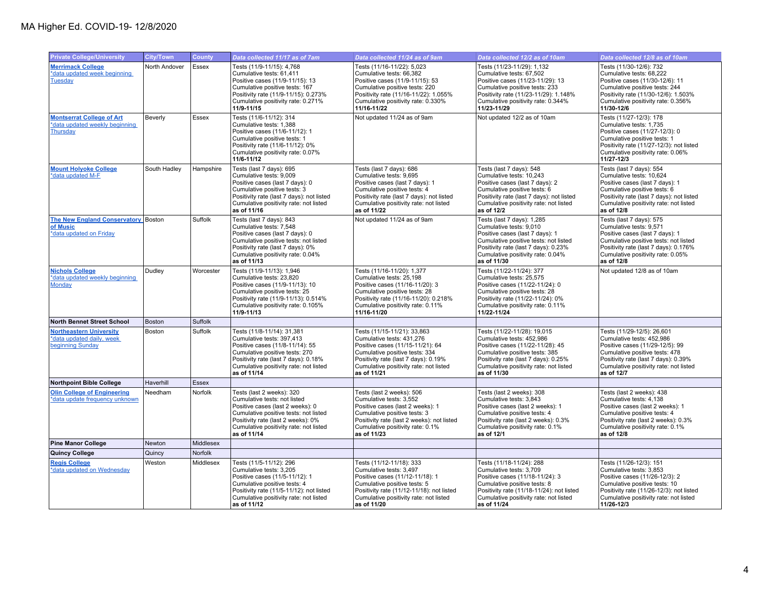| <b>Private College/University</b>                                                     | <b>City/Town</b> | <b>County</b> | Data collected 11/17 as of 7am                                                                                                                                                                                                        | Data collected 11/24 as of 9am                                                                                                                                                                                                  | Data collected 12/2 as of 10am                                                                                                                                                                                                  | Data collected 12/8 as of 10am                                                                                                                                                                                               |
|---------------------------------------------------------------------------------------|------------------|---------------|---------------------------------------------------------------------------------------------------------------------------------------------------------------------------------------------------------------------------------------|---------------------------------------------------------------------------------------------------------------------------------------------------------------------------------------------------------------------------------|---------------------------------------------------------------------------------------------------------------------------------------------------------------------------------------------------------------------------------|------------------------------------------------------------------------------------------------------------------------------------------------------------------------------------------------------------------------------|
| <b>Merrimack College</b><br>*data updated week beginning<br>Tuesday                   | North Andover    | Essex         | Tests (11/9-11/15): 4,768<br>Cumulative tests: 61,411<br>Positive cases (11/9-11/15): 13<br>Cumulative positive tests: 167<br>Positivity rate (11/9-11/15): 0.273%<br>Cumulative positivity rate: 0.271%<br>11/9-11/15                | Tests (11/16-11/22): 5,023<br>Cumulative tests: 66,382<br>Positive cases (11/9-11/15): 53<br>Cumulative positive tests: 220<br>Positivity rate (11/16-11/22): 1.055%<br>Cumulative positivity rate: 0.330%<br>11/16-11/22       | Tests (11/23-11/29): 1,132<br>Cumulative tests: 67,502<br>Positive cases (11/23-11/29): 13<br>Cumulative positive tests: 233<br>Positivity rate (11/23-11/29): 1.148%<br>Cumulative positivity rate: 0.344%<br>11/23-11/29      | Tests (11/30-12/6): 732<br>Cumulative tests: 68,222<br>Positive cases (11/30-12/6): 11<br>Cumulative positive tests: 244<br>Positivity rate (11/30-12/6): 1.503%<br>Cumulative positivity rate: 0.356%<br>11/30-12/6         |
| <b>Montserrat College of Art</b><br>*data updated weekly beginning<br><b>Thursday</b> | Beverly          | Essex         | Tests (11/6-11/12): 314<br>Cumulative tests: 1,388<br>Positive cases (11/6-11/12): 1<br>Cumulative positive tests: 1<br>Positivity rate (11/6-11/12): 0%<br>Cumulative positivity rate: 0.07%<br>11/6-11/12                           | Not updated 11/24 as of 9am                                                                                                                                                                                                     | Not updated 12/2 as of 10am                                                                                                                                                                                                     | Tests (11/27-12/3): 178<br>Cumulative tests: 1,735<br>Positive cases (11/27-12/3): 0<br>Cumulative positive tests: 1<br>Positivity rate (11/27-12/3): not listed<br>Cumulative positivity rate: 0.06%<br>11/27-12/3          |
| <b>Mount Holyoke College</b><br>*data updated M-F                                     | South Hadley     | Hampshire     | Tests (last 7 days): 695<br>Cumulative tests: 9,009<br>Positive cases (last 7 days): 0<br>Cumulative positive tests: 3<br>Positivity rate (last 7 days): not listed<br>Cumulative positivity rate: not listed<br>as of 11/16          | Tests (last 7 days): 686<br>Cumulative tests: 9,695<br>Positive cases (last 7 days): 1<br>Cumulative positive tests: 4<br>Positivity rate (last 7 days): not listed<br>Cumulative positivity rate: not listed<br>as of 11/22    | Tests (last 7 days): 548<br>Cumulative tests: 10,243<br>Positive cases (last 7 days): 2<br>Cumulative positive tests: 6<br>Positivity rate (last 7 days): not listed<br>Cumulative positivity rate: not listed<br>as of 12/2    | Tests (last 7 days): 554<br>Cumulative tests: 10,624<br>Positive cases (last 7 days): 1<br>Cumulative positive tests: 6<br>Positivity rate (last 7 days): not listed<br>Cumulative positivity rate: not listed<br>as of 12/8 |
| The New England Conservatory Boston<br>of Music<br>*data updated on Friday            |                  | Suffolk       | Tests (last 7 days): 843<br>Cumulative tests: 7.548<br>Positive cases (last 7 days): 0<br>Cumulative positive tests: not listed<br>Positivity rate (last 7 days): 0%<br>Cumulative positivity rate: 0.04%<br>as of 11/13              | Not updated 11/24 as of 9am                                                                                                                                                                                                     | Tests (last 7 days): 1,285<br>Cumulative tests: 9.010<br>Positive cases (last 7 days): 1<br>Cumulative positive tests: not listed<br>Positivity rate (last 7 days): 0.23%<br>Cumulative positivity rate: 0.04%<br>as of 11/30   | Tests (last 7 days): 575<br>Cumulative tests: 9.571<br>Positive cases (last 7 days): 1<br>Cumulative positive tests: not listed<br>Positivity rate (last 7 days): 0.176%<br>Cumulative positivity rate: 0.05%<br>as of 12/8  |
| <b>Nichols College</b><br>*data updated weekly beginning<br>Monday                    | Dudley           | Worcester     | Tests (11/9-11/13): 1,946<br>Cumulative tests: 23,820<br>Positive cases (11/9-11/13): 10<br>Cumulative positive tests: 25<br>Positivity rate (11/9-11/13): 0.514%<br>Cumulative positivity rate: 0.105%<br>11/9-11/13                 | Tests (11/16-11/20): 1,377<br>Cumulative tests: 25,198<br>Positive cases (11/16-11/20): 3<br>Cumulative positive tests: 28<br>Positivity rate (11/16-11/20): 0.218%<br>Cumulative positivity rate: 0.11%<br>11/16-11/20         | Tests (11/22-11/24): 377<br>Cumulative tests: 25,575<br>Positive cases (11/22-11/24): 0<br>Cumulative positive tests: 28<br>Positivity rate (11/22-11/24): 0%<br>Cumulative positivity rate: 0.11%<br>11/22-11/24               | Not updated 12/8 as of 10am                                                                                                                                                                                                  |
| <b>North Bennet Street School</b>                                                     | <b>Boston</b>    | Suffolk       |                                                                                                                                                                                                                                       |                                                                                                                                                                                                                                 |                                                                                                                                                                                                                                 |                                                                                                                                                                                                                              |
| <b>Northeastern University</b><br>*data updated daily, week<br>beginning Sunday       | Boston           | Suffolk       | Tests (11/8-11/14): 31,381<br>Cumulative tests: 397,413<br>Positive cases (11/8-11/14): 55<br>Cumulative positive tests: 270<br>Positivity rate (last 7 days): 0.18%<br>Cumulative positivity rate: not listed<br>as of 11/14         | Tests (11/15-11/21): 33,863<br>Cumulative tests: 431,276<br>Positive cases (11/15-11/21): 64<br>Cumulative positive tests: 334<br>Positivity rate (last 7 days): 0.19%<br>Cumulative positivity rate: not listed<br>as of 11/21 | Tests (11/22-11/28): 19,015<br>Cumulative tests: 452,986<br>Positive cases (11/22-11/28): 45<br>Cumulative positive tests: 385<br>Positivity rate (last 7 days): 0.25%<br>Cumulative positivity rate: not listed<br>as of 11/30 | Tests (11/29-12/5): 26,601<br>Cumulative tests: 452,986<br>Positive cases (11/29-12/5): 99<br>Cumulative positive tests: 478<br>Positivity rate (last 7 days): 0.39%<br>Cumulative positivity rate: not listed<br>as of 12/7 |
| <b>Northpoint Bible College</b>                                                       | Haverhill        | <b>Essex</b>  |                                                                                                                                                                                                                                       |                                                                                                                                                                                                                                 |                                                                                                                                                                                                                                 |                                                                                                                                                                                                                              |
| <b>Olin College of Engineering</b><br>*data update frequency unknown                  | Needham          | Norfolk       | Tests (last 2 weeks): 320<br>Cumulative tests: not listed<br>Positive cases (last 2 weeks): 0<br>Cumulative positive tests: not listed<br>Positivity rate (last 2 weeks): 0%<br>Cumulative positivity rate: not listed<br>as of 11/14 | Tests (last 2 weeks): 506<br>Cumulative tests: 3,552<br>Positive cases (last 2 weeks): 1<br>Cumulative positive tests: 3<br>Positivity rate (last 2 weeks): not listed<br>Cumulative positivity rate: 0.1%<br>as of 11/23       | Tests (last 2 weeks): 308<br>Cumulative tests: 3,843<br>Positive cases (last 2 weeks): 1<br>Cumulative positive tests: 4<br>Positivity rate (last 2 weeks): 0.3%<br>Cumulative positivity rate: 0.1%<br>as of 12/1              | Tests (last 2 weeks): 438<br>Cumulative tests: 4,138<br>Positive cases (last 2 weeks): 1<br>Cumulative positive tests: 4<br>Positivity rate (last 2 weeks): 0.3%<br>Cumulative positivity rate: 0.1%<br>as of 12/8           |
| <b>Pine Manor College</b>                                                             | Newton           | Middlesex     |                                                                                                                                                                                                                                       |                                                                                                                                                                                                                                 |                                                                                                                                                                                                                                 |                                                                                                                                                                                                                              |
| Quincy College                                                                        | Quincy           | Norfolk       |                                                                                                                                                                                                                                       |                                                                                                                                                                                                                                 |                                                                                                                                                                                                                                 |                                                                                                                                                                                                                              |
| <b>Regis College</b><br>*data updated on Wednesday                                    | Weston           | Middlesex     | Tests (11/5-11/12): 296<br>Cumulative tests: 3,205<br>Positive cases (11/5-11/12): 1<br>Cumulative positive tests: 4<br>Positivity rate (11/5-11/12): not listed<br>Cumulative positivity rate: not listed<br>as of 11/12             | Tests (11/12-11/18): 333<br>Cumulative tests: 3,497<br>Positive cases (11/12-11/18): 1<br>Cumulative positive tests: 5<br>Positivity rate (11/12-11/18); not listed<br>Cumulative positivity rate: not listed<br>as of 11/20    | Tests (11/18-11/24): 288<br>Cumulative tests: 3,709<br>Positive cases (11/18-11/24): 3<br>Cumulative positive tests: 8<br>Positivity rate (11/18-11/24); not listed<br>Cumulative positivity rate: not listed<br>as of 11/24    | Tests (11/26-12/3): 151<br>Cumulative tests: 3,853<br>Positive cases (11/26-12/3): 2<br>Cumulative positive tests: 10<br>Positivity rate (11/26-12/3): not listed<br>Cumulative positivity rate: not listed<br>11/26-12/3    |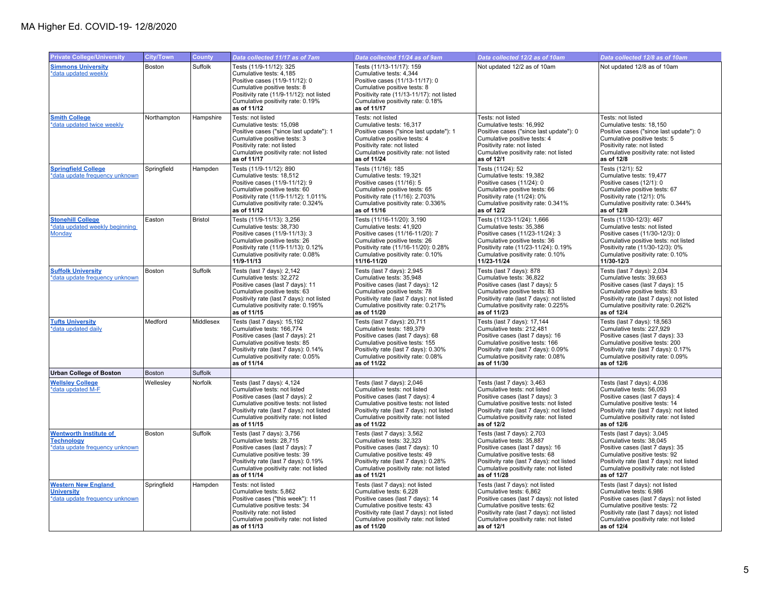| <b>Private College/University</b>                                                    | City/Town   | <b>County</b> | Data collected 11/17 as of 7am                                                                                                                                                                                                               | Data collected 11/24 as of 9am                                                                                                                                                                                                               | Data collected 12/2 as of 10am                                                                                                                                                                                                               | Data collected 12/8 as of 10am                                                                                                                                                                                                               |
|--------------------------------------------------------------------------------------|-------------|---------------|----------------------------------------------------------------------------------------------------------------------------------------------------------------------------------------------------------------------------------------------|----------------------------------------------------------------------------------------------------------------------------------------------------------------------------------------------------------------------------------------------|----------------------------------------------------------------------------------------------------------------------------------------------------------------------------------------------------------------------------------------------|----------------------------------------------------------------------------------------------------------------------------------------------------------------------------------------------------------------------------------------------|
| <b>Simmons University</b><br>*data updated weekly                                    | Boston      | Suffolk       | Tests (11/9-11/12): 325<br>Cumulative tests: 4,185<br>Positive cases (11/9-11/12): 0<br>Cumulative positive tests: 8<br>Positivity rate (11/9-11/12): not listed<br>Cumulative positivity rate: 0.19%<br>as of 11/12                         | Tests (11/13-11/17): 159<br>Cumulative tests: 4,344<br>Positive cases (11/13-11/17): 0<br>Cumulative positive tests: 8<br>Positivity rate (11/13-11/17): not listed<br>Cumulative positivity rate: 0.18%<br>as of 11/17                      | Not updated 12/2 as of 10am                                                                                                                                                                                                                  | Not updated 12/8 as of 10am                                                                                                                                                                                                                  |
| <b>Smith College</b><br>*data updated twice weekly                                   | Northampton | Hampshire     | Tests: not listed<br>Cumulative tests: 15,098<br>Positive cases ("since last update"): 1<br>Cumulative positive tests: 3<br>Positivity rate: not listed<br>Cumulative positivity rate: not listed<br>as of 11/17                             | Tests: not listed<br>Cumulative tests: 16,317<br>Positive cases ("since last update"): 1<br>Cumulative positive tests: 4<br>Positivity rate: not listed<br>Cumulative positivity rate: not listed<br>as of 11/24                             | Tests: not listed<br>Cumulative tests: 16,992<br>Positive cases ("since last update"): 0<br>Cumulative positive tests: 4<br>Positivity rate: not listed<br>Cumulative positivity rate: not listed<br>as of 12/1                              | Tests: not listed<br>Cumulative tests: 18,150<br>Positive cases ("since last update"): 0<br>Cumulative positive tests: 5<br>Positivity rate: not listed<br>Cumulative positivity rate: not listed<br>as of 12/8                              |
| <b>Springfield College</b><br>*data update frequency unknown                         | Springfield | Hampden       | Tests (11/9-11/12): 890<br>Cumulative tests: 18,512<br>Positive cases (11/9-11/12): 9<br>Cumulative positive tests: 60<br>Positivity rate (11/9-11/12): 1.011%<br>Cumulative positivity rate: 0.324%<br>as of 11/12                          | Tests (11/16): 185<br>Cumulative tests: 19,321<br>Positive cases (11/16): 5<br>Cumulative positive tests: 65<br>Positivity rate (11/16): 2.703%<br>Cumulative positivity rate: 0.336%<br>as of 11/16                                         | Tests (11/24): 52<br>Cumulative tests: 19,382<br>Positive cases (11/24): 0<br>Cumulative positive tests: 66<br>Positivity rate (11/24): 0%<br>Cumulative positivity rate: 0.341%<br>as of 12/2                                               | Tests (12/1): 52<br>Cumulative tests: 19,477<br>Positive cases (12/1): 0<br>Cumulative positive tests: 67<br>Positivity rate (12/1): 0%<br>Cumulative positivity rate: 0.344%<br>as of 12/8                                                  |
| <b>Stonehill College</b><br>*data updated weekly beginning<br>Monday                 | Easton      | Bristol       | Tests (11/9-11/13): 3,256<br>Cumulative tests: 38.730<br>Positive cases (11/9-11/13): 3<br>Cumulative positive tests: 26<br>Positivity rate (11/9-11/13): 0.12%<br>Cumulative positivity rate: 0.08%<br>11/9-11/13                           | Tests (11/16-11/20): 3,190<br>Cumulative tests: 41.920<br>Positive cases (11/16-11/20): 7<br>Cumulative positive tests: 26<br>Positivity rate (11/16-11/20): 0.28%<br>Cumulative positivity rate: 0.10%<br>11/16-11/20                       | Tests (11/23-11/24): 1,666<br>Cumulative tests: 35.386<br>Positive cases (11/23-11/24): 3<br>Cumulative positive tests: 36<br>Positivity rate (11/23-11/24): 0.19%<br>Cumulative positivity rate: 0.10%<br>11/23-11/24                       | Tests (11/30-12/3): 467<br>Cumulative tests: not listed<br>Positive cases (11/30-12/3): 0<br>Cumulative positive tests: not listed<br>Positivity rate (11/30-12/3): 0%<br>Cumulative positivity rate: 0.10%<br>11/30-12/3                    |
| <b>Suffolk University</b><br>*data update frequency unknown                          | Boston      | Suffolk       | Tests (last 7 days): 2,142<br>Cumulative tests: 32,272<br>Positive cases (last 7 days): 11<br>Cumulative positive tests: 63<br>Positivity rate (last 7 days): not listed<br>Cumulative positivity rate: 0.195%<br>as of 11/15                | Tests (last 7 days): 2,945<br>Cumulative tests: 35,948<br>Positive cases (last 7 days): 12<br>Cumulative positive tests: 78<br>Positivity rate (last 7 days): not listed<br>Cumulative positivity rate: 0.217%<br>as of 11/20                | Tests (last 7 days): 878<br>Cumulative tests: 36,822<br>Positive cases (last 7 days): 5<br>Cumulative positive tests: 83<br>Positivity rate (last 7 days): not listed<br>Cumulative positivity rate: 0.225%<br>as of 11/23                   | Tests (last 7 days): 2,034<br>Cumulative tests: 39,663<br>Positive cases (last 7 days): 15<br>Cumulative positive tests: 83<br>Positivity rate (last 7 days): not listed<br>Cumulative positivity rate: 0.262%<br>as of 12/4                 |
| <b>Tufts University</b><br>*data updated daily                                       | Medford     | Middlesex     | Tests (last 7 days): 15,192<br>Cumulative tests: 166,774<br>Positive cases (last 7 days): 21<br>Cumulative positive tests: 85<br>Positivity rate (last 7 days): 0.14%<br>Cumulative positivity rate: 0.05%<br>as of 11/14                    | Tests (last 7 days): 20,711<br>Cumulative tests: 189,379<br>Positive cases (last 7 days): 68<br>Cumulative positive tests: 155<br>Positivity rate (last 7 days): 0.30%<br>Cumulative positivity rate: 0.08%<br>as of 11/22                   | Tests (last 7 days): 17,144<br>Cumulative tests: 212,481<br>Positive cases (last 7 days): 16<br>Cumulative positive tests: 166<br>Positivity rate (last 7 days): 0.09%<br>Cumulative positivity rate: 0.08%<br>as of 11/30                   | Tests (last 7 days): 18,563<br>Cumulative tests: 227,929<br>Positive cases (last 7 days): 33<br>Cumulative positive tests: 200<br>Positivity rate (last 7 days): 0.17%<br>Cumulative positivity rate: 0.09%<br>as of 12/6                    |
| <b>Urban College of Boston</b>                                                       | Boston      | Suffolk       |                                                                                                                                                                                                                                              |                                                                                                                                                                                                                                              |                                                                                                                                                                                                                                              |                                                                                                                                                                                                                                              |
| <b>Wellsley College</b><br>*data updated M-F                                         | Wellesley   | Norfolk       | Tests (last 7 days): 4,124<br>Cumulative tests: not listed<br>Positive cases (last 7 days): 2<br>Cumulative positive tests: not listed<br>Positivity rate (last 7 days): not listed<br>Cumulative positivity rate: not listed<br>as of 11/15 | Tests (last 7 days): 2,046<br>Cumulative tests: not listed<br>Positive cases (last 7 days): 4<br>Cumulative positive tests: not listed<br>Positivity rate (last 7 days): not listed<br>Cumulative positivity rate: not listed<br>as of 11/22 | Tests (last 7 days): 3,463<br>Cumulative tests: not listed<br>Positive cases (last 7 days): 3<br>Cumulative positive tests: not listed<br>Positivity rate (last 7 days): not listed<br>Cumulative positivity rate: not listed<br>as of 12/2  | Tests (last 7 days): 4,036<br>Cumulative tests: 56,093<br>Positive cases (last 7 days): 4<br>Cumulative positive tests: 14<br>Positivity rate (last 7 days): not listed<br>Cumulative positivity rate: not listed<br>as of 12/6              |
| <b>Wentworth Institute of</b><br><b>Technology</b><br>*data update frequency unknown | Boston      | Suffolk       | Tests (last 7 days): 3,756<br>Cumulative tests: 28,715<br>Positive cases (last 7 days): 7<br>Cumulative positive tests: 39<br>Positivity rate (last 7 days): 0.19%<br>Cumulative positivity rate: not listed<br>as of 11/14                  | Tests (last 7 days): 3,562<br>Cumulative tests: 32,323<br>Positive cases (last 7 days): 10<br>Cumulative positive tests: 49<br>Positivity rate (last 7 days): 0.28%<br>Cumulative positivity rate: not listed<br>as of 11/21                 | Tests (last 7 days): 2,703<br>Cumulative tests: 35,887<br>Positive cases (last 7 days): 16<br>Cumulative positive tests: 68<br>Positivity rate (last 7 days): not listed<br>Cumulative positivity rate: not listed<br>as of 11/28            | Tests (last 7 days): 3,045<br>Cumulative tests: 38,045<br>Positive cases (last 7 days): 35<br>Cumulative positive tests: 92<br>Positivity rate (last 7 days): not listed<br>Cumulative positivity rate: not listed<br>as of 12/7             |
| <b>Western New England</b><br><b>University</b><br>*data update frequency unknown    | Springfield | Hampden       | Tests: not listed<br>Cumulative tests: 5,862<br>Positive cases ("this week"): 11<br>Cumulative positive tests: 34<br>Positivity rate: not listed<br>Cumulative positivity rate: not listed<br>as of 11/13                                    | Tests (last 7 days): not listed<br>Cumulative tests: 6,228<br>Positive cases (last 7 days): 14<br>Cumulative positive tests: 43<br>Positivity rate (last 7 days): not listed<br>Cumulative positivity rate: not listed<br>as of 11/20        | Tests (last 7 days): not listed<br>Cumulative tests: 6,862<br>Positive cases (last 7 days): not listed<br>Cumulative positive tests: 62<br>Positivity rate (last 7 days): not listed<br>Cumulative positivity rate: not listed<br>as of 12/1 | Tests (last 7 days): not listed<br>Cumulative tests: 6,986<br>Positive cases (last 7 days): not listed<br>Cumulative positive tests: 72<br>Positivity rate (last 7 days): not listed<br>Cumulative positivity rate: not listed<br>as of 12/4 |